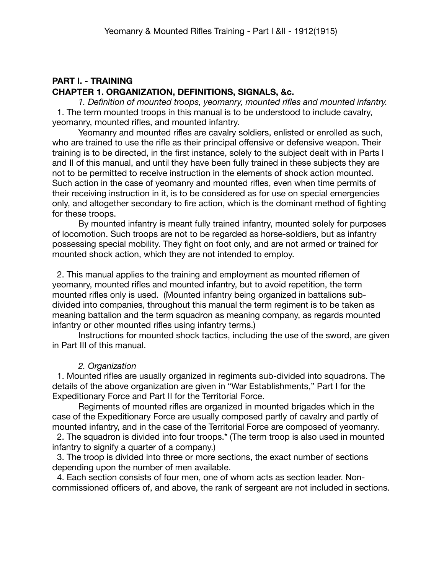## **PART I. - TRAINING CHAPTER 1. ORGANIZATION, DEFINITIONS, SIGNALS, &c.**

*1. Definition of mounted troops, yeomanry, mounted rifles and mounted infantry.* 1. The term mounted troops in this manual is to be understood to include cavalry, yeomanry, mounted rifles, and mounted infantry.

Yeomanry and mounted rifles are cavalry soldiers, enlisted or enrolled as such, who are trained to use the rifle as their principal offensive or defensive weapon. Their training is to be directed, in the first instance, solely to the subject dealt with in Parts I and II of this manual, and until they have been fully trained in these subjects they are not to be permitted to receive instruction in the elements of shock action mounted. Such action in the case of yeomanry and mounted rifles, even when time permits of their receiving instruction in it, is to be considered as for use on special emergencies only, and altogether secondary to fire action, which is the dominant method of fighting for these troops.

By mounted infantry is meant fully trained infantry, mounted solely for purposes of locomotion. Such troops are not to be regarded as horse-soldiers, but as infantry possessing special mobility. They fight on foot only, and are not armed or trained for mounted shock action, which they are not intended to employ.

 2. This manual applies to the training and employment as mounted riflemen of yeomanry, mounted rifles and mounted infantry, but to avoid repetition, the term mounted rifles only is used. (Mounted infantry being organized in battalions subdivided into companies, throughout this manual the term regiment is to be taken as meaning battalion and the term squadron as meaning company, as regards mounted infantry or other mounted rifles using infantry terms.)

Instructions for mounted shock tactics, including the use of the sword, are given in Part III of this manual.

## *2. Organization*

 1. Mounted rifles are usually organized in regiments sub-divided into squadrons. The details of the above organization are given in "War Establishments," Part I for the Expeditionary Force and Part II for the Territorial Force.

Regiments of mounted rifles are organized in mounted brigades which in the case of the Expeditionary Force are usually composed partly of cavalry and partly of mounted infantry, and in the case of the Territorial Force are composed of yeomanry.

 2. The squadron is divided into four troops.\* (The term troop is also used in mounted infantry to signify a quarter of a company.)

 3. The troop is divided into three or more sections, the exact number of sections depending upon the number of men available.

 4. Each section consists of four men, one of whom acts as section leader. Noncommissioned officers of, and above, the rank of sergeant are not included in sections.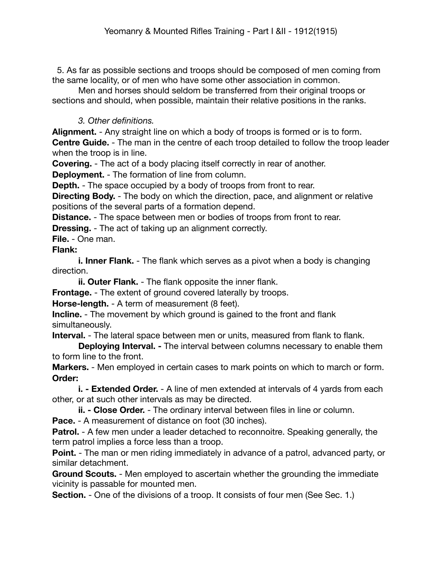5. As far as possible sections and troops should be composed of men coming from the same locality, or of men who have some other association in common.

Men and horses should seldom be transferred from their original troops or sections and should, when possible, maintain their relative positions in the ranks.

## *3. Other definitions.*

**Alignment.** - Any straight line on which a body of troops is formed or is to form. **Centre Guide.** - The man in the centre of each troop detailed to follow the troop leader when the troop is in line.

**Covering.** - The act of a body placing itself correctly in rear of another.

**Deployment.** - The formation of line from column.

**Depth.** - The space occupied by a body of troops from front to rear.

**Directing Body.** - The body on which the direction, pace, and alignment or relative positions of the several parts of a formation depend.

**Distance.** - The space between men or bodies of troops from front to rear.

**Dressing.** - The act of taking up an alignment correctly.

**File.** - One man.

## **Flank:**

**i. Inner Flank.** - The flank which serves as a pivot when a body is changing direction.

**ii. Outer Flank.** - The flank opposite the inner flank.

**Frontage.** - The extent of ground covered laterally by troops.

**Horse-length.** - A term of measurement (8 feet).

**Incline.** - The movement by which ground is gained to the front and flank simultaneously.

**Interval.** - The lateral space between men or units, measured from flank to flank.

**Deploying Interval. -** The interval between columns necessary to enable them to form line to the front.

**Markers.** - Men employed in certain cases to mark points on which to march or form. **Order:**

**i. - Extended Order.** - A line of men extended at intervals of 4 yards from each other, or at such other intervals as may be directed.

**ii. - Close Order.** - The ordinary interval between files in line or column.

**Pace.** - A measurement of distance on foot (30 inches).

**Patrol.** - A few men under a leader detached to reconnoitre. Speaking generally, the term patrol implies a force less than a troop.

**Point.** - The man or men riding immediately in advance of a patrol, advanced party, or similar detachment.

**Ground Scouts.** - Men employed to ascertain whether the grounding the immediate vicinity is passable for mounted men.

**Section.** - One of the divisions of a troop. It consists of four men (See Sec. 1.)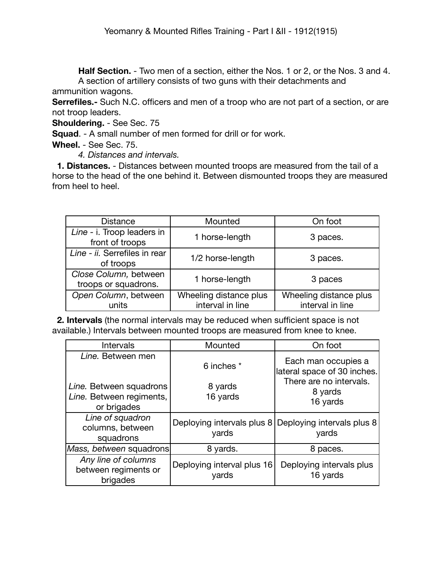**Half Section.** - Two men of a section, either the Nos. 1 or 2, or the Nos. 3 and 4. A section of artillery consists of two guns with their detachments and

ammunition wagons.

**Serrefiles.**- Such N.C. officers and men of a troop who are not part of a section, or are not troop leaders.

**Shouldering.** - See Sec. 75

**Squad**. - A small number of men formed for drill or for work.

**Wheel.** - See Sec. 75.

*4. Distances and intervals.*

 **1. Distances.** - Distances between mounted troops are measured from the tail of a horse to the head of the one behind it. Between dismounted troops they are measured from heel to heel.

| <b>Distance</b>                               | Mounted                | On foot                |
|-----------------------------------------------|------------------------|------------------------|
| Line - i. Troop leaders in<br>front of troops | 1 horse-length         | 3 paces.               |
| Line - ii. Serrefiles in rear<br>of troops    | 1/2 horse-length       | 3 paces.               |
| Close Column, between<br>troops or squadrons. | 1 horse-length         | 3 paces                |
| Open Column, between                          | Wheeling distance plus | Wheeling distance plus |
| units                                         | interval in line       | interval in line       |

 **2. Intervals** (the normal intervals may be reduced when sufficient space is not available.) Intervals between mounted troops are measured from knee to knee.

| Intervals                                                                               | Mounted                             | On foot                                                                                              |
|-----------------------------------------------------------------------------------------|-------------------------------------|------------------------------------------------------------------------------------------------------|
| Line. Between men<br>Line. Between squadrons<br>Line. Between regiments,<br>or brigades | 6 inches *<br>8 yards<br>16 yards   | Each man occupies a<br>lateral space of 30 inches.<br>There are no intervals.<br>8 yards<br>16 yards |
| Line of squadron<br>columns, between<br>squadrons                                       | Deploying intervals plus 8<br>yards | Deploying intervals plus 8<br>yards                                                                  |
| Mass, between squadrons                                                                 | 8 yards.                            | 8 paces.                                                                                             |
| Any line of columns<br>between regiments or<br>brigades                                 | Deploying interval plus 16<br>yards | Deploying intervals plus<br>16 yards                                                                 |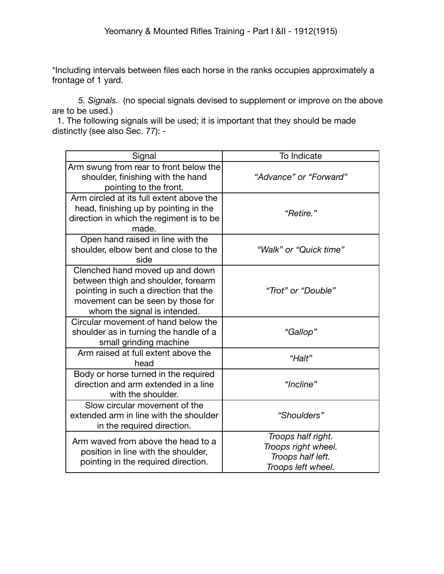\*Including intervals between files each horse in the ranks occupies approximately a frontage of 1 yard.

*5. Signals.* (no special signals devised to supplement or improve on the above are to be used.)

 1. The following signals will be used; it is important that they should be made distinctly (see also Sec. 77): -

| Signal                                                                                                                                                                               | To Indicate                                                                          |
|--------------------------------------------------------------------------------------------------------------------------------------------------------------------------------------|--------------------------------------------------------------------------------------|
| Arm swung from rear to front below the<br>shoulder, finishing with the hand<br>pointing to the front.                                                                                | "Advance" or "Forward"                                                               |
| Arm circled at its full extent above the<br>head, finishing up by pointing in the<br>direction in which the regiment is to be<br>made.                                               | "Retire."                                                                            |
| Open hand raised in line with the<br>shoulder, elbow bent and close to the<br>side                                                                                                   | "Walk" or "Quick time"                                                               |
| Clenched hand moved up and down<br>between thigh and shoulder, forearm<br>pointing in such a direction that the<br>movement can be seen by those for<br>whom the signal is intended. | "Trot" or "Double"                                                                   |
| Circular movement of hand below the<br>shoulder as in turning the handle of a<br>small grinding machine                                                                              | "Gallop"                                                                             |
| Arm raised at full extent above the<br>head                                                                                                                                          | "Halt"                                                                               |
| Body or horse turned in the required<br>direction and arm extended in a line<br>with the shoulder.                                                                                   | "Incline"                                                                            |
| Slow circular movement of the<br>extended arm in line with the shoulder<br>in the required direction.                                                                                | "Shoulders"                                                                          |
| Arm waved from above the head to a<br>position in line with the shoulder,<br>pointing in the required direction.                                                                     | Troops half right.<br>Troops right wheel.<br>Troops half left.<br>Troops left wheel. |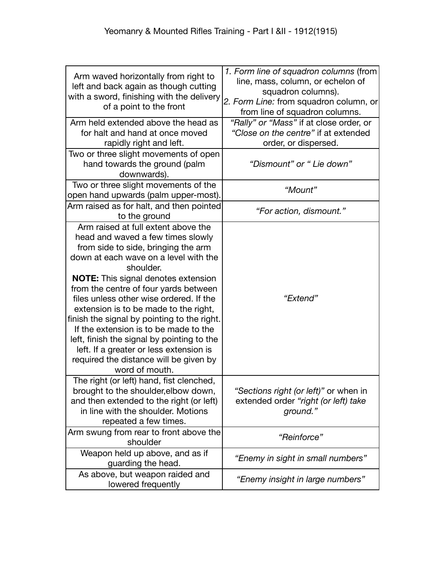| Arm waved horizontally from right to<br>left and back again as though cutting<br>with a sword, finishing with the delivery<br>of a point to the front                                                                                                                                                                                                                                                                                                                                                                                                                                         | 1. Form line of squadron columns (from<br>line, mass, column, or echelon of<br>squadron columns).<br>2. Form Line: from squadron column, or<br>from line of squadron columns. |
|-----------------------------------------------------------------------------------------------------------------------------------------------------------------------------------------------------------------------------------------------------------------------------------------------------------------------------------------------------------------------------------------------------------------------------------------------------------------------------------------------------------------------------------------------------------------------------------------------|-------------------------------------------------------------------------------------------------------------------------------------------------------------------------------|
| Arm held extended above the head as<br>for halt and hand at once moved<br>rapidly right and left.                                                                                                                                                                                                                                                                                                                                                                                                                                                                                             | "Rally" or "Mass" if at close order, or<br>"Close on the centre" if at extended<br>order, or dispersed.                                                                       |
| Two or three slight movements of open<br>hand towards the ground (palm<br>downwards).                                                                                                                                                                                                                                                                                                                                                                                                                                                                                                         | "Dismount" or " Lie down"                                                                                                                                                     |
| Two or three slight movements of the<br>open hand upwards (palm upper-most).                                                                                                                                                                                                                                                                                                                                                                                                                                                                                                                  | "Mount"                                                                                                                                                                       |
| Arm raised as for halt, and then pointed<br>to the ground                                                                                                                                                                                                                                                                                                                                                                                                                                                                                                                                     | "For action, dismount."                                                                                                                                                       |
| Arm raised at full extent above the<br>head and waved a few times slowly<br>from side to side, bringing the arm<br>down at each wave on a level with the<br>shoulder.<br><b>NOTE:</b> This signal denotes extension<br>from the centre of four yards between<br>files unless other wise ordered. If the<br>extension is to be made to the right,<br>finish the signal by pointing to the right.<br>If the extension is to be made to the<br>left, finish the signal by pointing to the<br>left. If a greater or less extension is<br>required the distance will be given by<br>word of mouth. | "Extend"                                                                                                                                                                      |
| The right (or left) hand, fist clenched,<br>brought to the shoulder, elbow down,<br>and then extended to the right (or left)<br>in line with the shoulder. Motions<br>repeated a few times.                                                                                                                                                                                                                                                                                                                                                                                                   | "Sections right (or left)" or when in<br>extended order "right (or left) take<br>ground."                                                                                     |
| Arm swung from rear to front above the<br>shoulder                                                                                                                                                                                                                                                                                                                                                                                                                                                                                                                                            | "Reinforce"                                                                                                                                                                   |
| Weapon held up above, and as if<br>guarding the head.                                                                                                                                                                                                                                                                                                                                                                                                                                                                                                                                         | "Enemy in sight in small numbers"                                                                                                                                             |
| As above, but weapon raided and<br>lowered frequently                                                                                                                                                                                                                                                                                                                                                                                                                                                                                                                                         | "Enemy insight in large numbers"                                                                                                                                              |